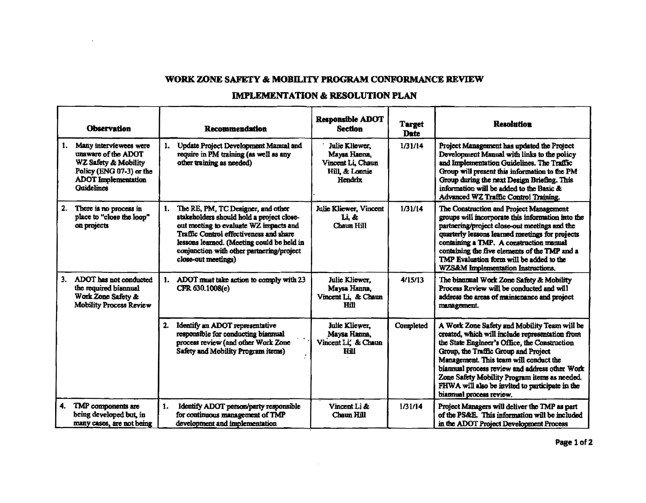## WORK ZONE SAFETY & MOBILITY PROGRAM CONFORMANCE REVIEW

 $\mathbf{r}$ 

## **IMPLEMENTATION & RESOLUTION PLAN**

|                         | <b>Observation</b>                                                                                                              |    | <b>Recommendation</b>                                                                                                                                                                                                                                                                  | <b>Responsible ADOT</b><br><b>Section</b>                                        | <b>Target</b><br><b>Date</b> | <b>Resolution</b>                                                                                                                                                                                                                                                                                                                                                                                                    |
|-------------------------|---------------------------------------------------------------------------------------------------------------------------------|----|----------------------------------------------------------------------------------------------------------------------------------------------------------------------------------------------------------------------------------------------------------------------------------------|----------------------------------------------------------------------------------|------------------------------|----------------------------------------------------------------------------------------------------------------------------------------------------------------------------------------------------------------------------------------------------------------------------------------------------------------------------------------------------------------------------------------------------------------------|
| 1.<br><b>Guidelines</b> | Many interviewees were<br>unaware of the ADOT<br>WZ Safety & Mobility<br>Policy (ENG 07-3) or the<br><b>ADOT</b> Implementation | 1. | Update Project Development Mamial and<br>require in PM training (as well as any<br>other training as needed)                                                                                                                                                                           | Julie Kliewer.<br>Maysa Hanna,<br>Vincent Li, Chaun<br>Hill, & Lonnie<br>Hendrix | 1/31/14                      | Project Management has updated the Project<br>Development Manual with links to the policy<br>and Implementation Guidelines. The Traffic<br>Group will present this information to the PM<br>Group during the next Design Briefing. This<br>information will be added to the Basic &<br>Advanced WZ Traffic Control Training.                                                                                         |
| 2.<br>on projects       | There is no process in<br>place to "close the loop"                                                                             | 1. | The RE, PM, TC Designer, and other<br>stakeholders should hold a project close-<br>out meeting to evaluate WZ impacts and<br>Traffic Control effectiveness and share<br>lessons learned. (Meeting could be held in<br>conjunction with other partnering/project<br>close-out meetings) | Julie Kliewer, Vincent<br>Li, &<br>Chaun Hill                                    | 1/31/14                      | The Construction and Project Management<br>groups will incorporate this information into the<br>partnering/project close-out meetings and the<br>quarterly lessons learned meetings for projects<br>containing a TMP. A construction manual<br>containing the five elements of the TMP and a<br>TMP Evaluation form will be added to the<br>WZS&M Implementation Instructions.                                       |
| 3.                      | ADOT has not conducted<br>the required biannual<br>Work Zone Safety &<br><b>Mobility Process Review</b>                         | 1. | ADOT must take action to comply with 23<br>CFR 630.1008(e)                                                                                                                                                                                                                             | Julie Kliewer.<br>Maysa Hanna,<br>Vincent Li, & Chaun<br>Hill                    | 4/15/13                      | The biannual Work Zone Safety & Mobility<br>Process Review will be conducted and will<br>address the areas of maintenance and project<br>management.                                                                                                                                                                                                                                                                 |
|                         |                                                                                                                                 | 2. | Identify an ADOT representative<br>responsible for conducting biannual<br>process review (and other Work Zone<br>Safety and Mobility Program items)                                                                                                                                    | Julie Kliewer,<br>Maysa Hanna,<br>Vincent Li, & Chaun<br>Hil                     | Completed                    | A Work Zone Safety and Mobility Team will be<br>created, which will include representation from<br>the State Engineer's Office, the Construction<br>Group, the Traffic Group and Project<br>Management. This team will conduct the<br>biannual process review and address other Work<br>Zone Safety Mobility Program items as needed.<br>FHWA will also be invited to participate in the<br>biannual process review. |
| 4.                      | TMP components are<br>being developed but, in<br>many cases, are not being                                                      | 1. | Identify ADOT person/party responsible<br>for continuous management of TMP<br>development and implementation                                                                                                                                                                           | Vincent Li &<br>Chaun Hill                                                       | 1/31/14                      | Project Managers will deliver the TMP as part<br>of the PS&E. This information will be included<br>in the ADOT Project Development Process                                                                                                                                                                                                                                                                           |

 $\sim 10^7$